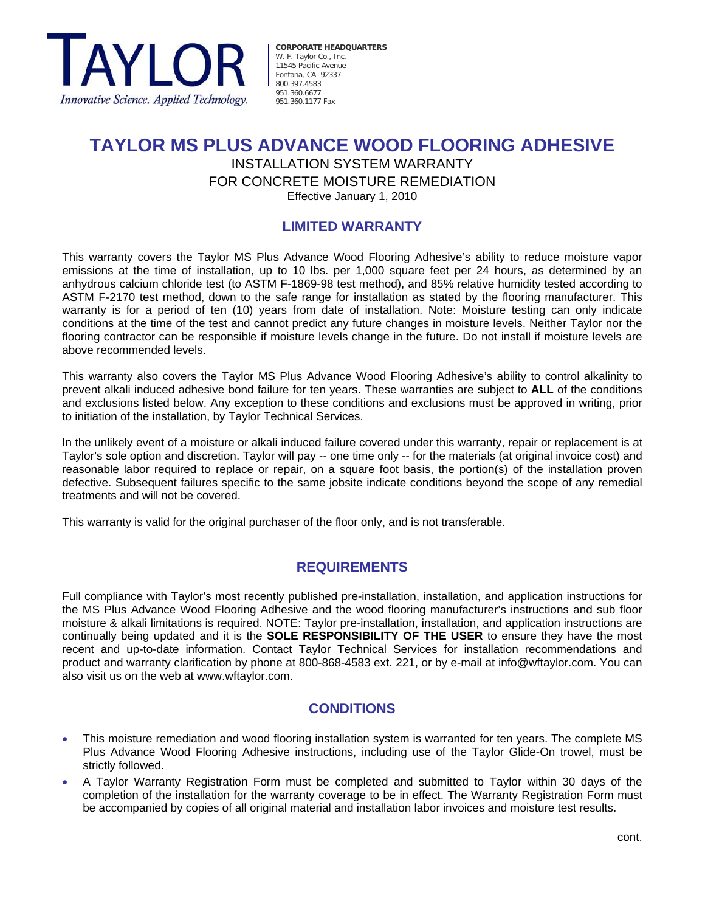

**CORPORATE HEADQUARTERS**  W. F. Taylor Co., Inc. 11545 Pacific Avenue Fontana, CA 92337 800.397.4583 951.360.6677 951.360.1177 Fax

## **TAYLOR MS PLUS ADVANCE WOOD FLOORING ADHESIVE**  INSTALLATION SYSTEM WARRANTY FOR CONCRETE MOISTURE REMEDIATION Effective January 1, 2010

### **LIMITED WARRANTY**

This warranty covers the Taylor MS Plus Advance Wood Flooring Adhesive's ability to reduce moisture vapor emissions at the time of installation, up to 10 lbs. per 1,000 square feet per 24 hours, as determined by an anhydrous calcium chloride test (to ASTM F-1869-98 test method), and 85% relative humidity tested according to ASTM F-2170 test method, down to the safe range for installation as stated by the flooring manufacturer. This warranty is for a period of ten (10) years from date of installation. Note: Moisture testing can only indicate conditions at the time of the test and cannot predict any future changes in moisture levels. Neither Taylor nor the flooring contractor can be responsible if moisture levels change in the future. Do not install if moisture levels are above recommended levels.

This warranty also covers the Taylor MS Plus Advance Wood Flooring Adhesive's ability to control alkalinity to prevent alkali induced adhesive bond failure for ten years. These warranties are subject to **ALL** of the conditions and exclusions listed below. Any exception to these conditions and exclusions must be approved in writing, prior to initiation of the installation, by Taylor Technical Services.

In the unlikely event of a moisture or alkali induced failure covered under this warranty, repair or replacement is at Taylor's sole option and discretion. Taylor will pay -- one time only -- for the materials (at original invoice cost) and reasonable labor required to replace or repair, on a square foot basis, the portion(s) of the installation proven defective. Subsequent failures specific to the same jobsite indicate conditions beyond the scope of any remedial treatments and will not be covered.

This warranty is valid for the original purchaser of the floor only, and is not transferable.

#### **REQUIREMENTS**

Full compliance with Taylor's most recently published pre-installation, installation, and application instructions for the MS Plus Advance Wood Flooring Adhesive and the wood flooring manufacturer's instructions and sub floor moisture & alkali limitations is required. NOTE: Taylor pre-installation, installation, and application instructions are continually being updated and it is the **SOLE RESPONSIBILITY OF THE USER** to ensure they have the most recent and up-to-date information. Contact Taylor Technical Services for installation recommendations and product and warranty clarification by phone at 800-868-4583 ext. 221, or by e-mail at info@wftaylor.com. You can also visit us on the web at www.wftaylor.com.

#### **CONDITIONS**

- This moisture remediation and wood flooring installation system is warranted for ten years. The complete MS Plus Advance Wood Flooring Adhesive instructions, including use of the Taylor Glide-On trowel, must be strictly followed.
- A Taylor Warranty Registration Form must be completed and submitted to Taylor within 30 days of the completion of the installation for the warranty coverage to be in effect. The Warranty Registration Form must be accompanied by copies of all original material and installation labor invoices and moisture test results.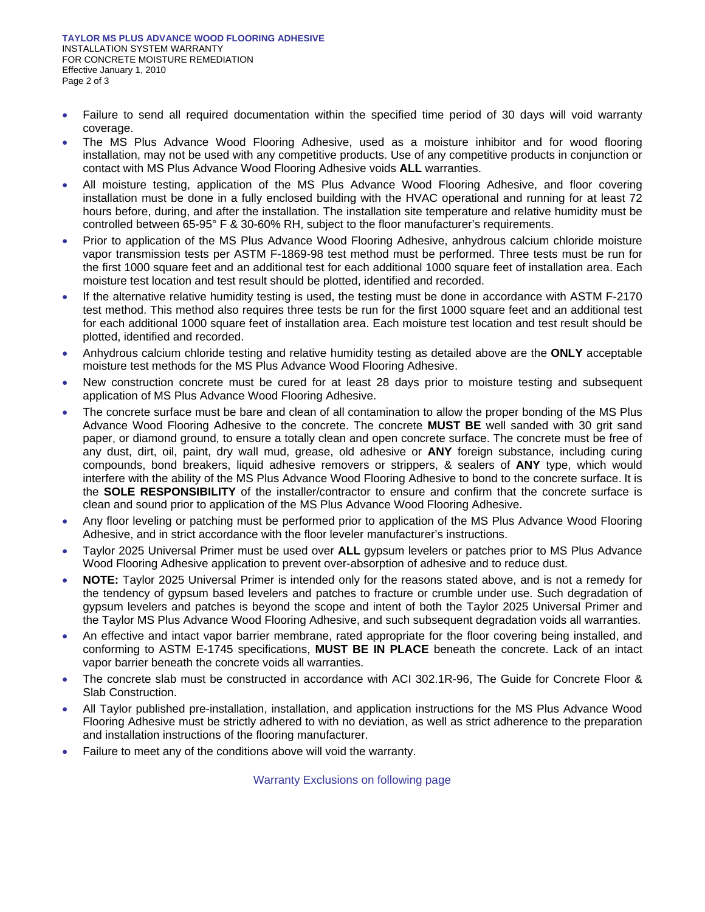**TAYLOR MS PLUS ADVANCE WOOD FLOORING ADHESIVE**  INSTALLATION SYSTEM WARRANTY FOR CONCRETE MOISTURE REMEDIATION Effective January 1, 2010 Page 2 of 3

- Failure to send all required documentation within the specified time period of 30 days will void warranty coverage.
- The MS Plus Advance Wood Flooring Adhesive, used as a moisture inhibitor and for wood flooring installation, may not be used with any competitive products. Use of any competitive products in conjunction or contact with MS Plus Advance Wood Flooring Adhesive voids **ALL** warranties.
- All moisture testing, application of the MS Plus Advance Wood Flooring Adhesive, and floor covering installation must be done in a fully enclosed building with the HVAC operational and running for at least 72 hours before, during, and after the installation. The installation site temperature and relative humidity must be controlled between 65-95° F & 30-60% RH, subject to the floor manufacturer's requirements.
- Prior to application of the MS Plus Advance Wood Flooring Adhesive, anhydrous calcium chloride moisture vapor transmission tests per ASTM F-1869-98 test method must be performed. Three tests must be run for the first 1000 square feet and an additional test for each additional 1000 square feet of installation area. Each moisture test location and test result should be plotted, identified and recorded.
- If the alternative relative humidity testing is used, the testing must be done in accordance with ASTM F-2170 test method. This method also requires three tests be run for the first 1000 square feet and an additional test for each additional 1000 square feet of installation area. Each moisture test location and test result should be plotted, identified and recorded.
- Anhydrous calcium chloride testing and relative humidity testing as detailed above are the **ONLY** acceptable moisture test methods for the MS Plus Advance Wood Flooring Adhesive.
- New construction concrete must be cured for at least 28 days prior to moisture testing and subsequent application of MS Plus Advance Wood Flooring Adhesive.
- The concrete surface must be bare and clean of all contamination to allow the proper bonding of the MS Plus Advance Wood Flooring Adhesive to the concrete. The concrete **MUST BE** well sanded with 30 grit sand paper, or diamond ground, to ensure a totally clean and open concrete surface. The concrete must be free of any dust, dirt, oil, paint, dry wall mud, grease, old adhesive or **ANY** foreign substance, including curing compounds, bond breakers, liquid adhesive removers or strippers, & sealers of **ANY** type, which would interfere with the ability of the MS Plus Advance Wood Flooring Adhesive to bond to the concrete surface. It is the **SOLE RESPONSIBILITY** of the installer/contractor to ensure and confirm that the concrete surface is clean and sound prior to application of the MS Plus Advance Wood Flooring Adhesive.
- Any floor leveling or patching must be performed prior to application of the MS Plus Advance Wood Flooring Adhesive, and in strict accordance with the floor leveler manufacturer's instructions.
- Taylor 2025 Universal Primer must be used over **ALL** gypsum levelers or patches prior to MS Plus Advance Wood Flooring Adhesive application to prevent over-absorption of adhesive and to reduce dust.
- **NOTE:** Taylor 2025 Universal Primer is intended only for the reasons stated above, and is not a remedy for the tendency of gypsum based levelers and patches to fracture or crumble under use. Such degradation of gypsum levelers and patches is beyond the scope and intent of both the Taylor 2025 Universal Primer and the Taylor MS Plus Advance Wood Flooring Adhesive, and such subsequent degradation voids all warranties.
- An effective and intact vapor barrier membrane, rated appropriate for the floor covering being installed, and conforming to ASTM E-1745 specifications, **MUST BE IN PLACE** beneath the concrete. Lack of an intact vapor barrier beneath the concrete voids all warranties.
- The concrete slab must be constructed in accordance with ACI 302.1R-96, The Guide for Concrete Floor & Slab Construction.
- All Taylor published pre-installation, installation, and application instructions for the MS Plus Advance Wood Flooring Adhesive must be strictly adhered to with no deviation, as well as strict adherence to the preparation and installation instructions of the flooring manufacturer.
- Failure to meet any of the conditions above will void the warranty.

Warranty Exclusions on following page